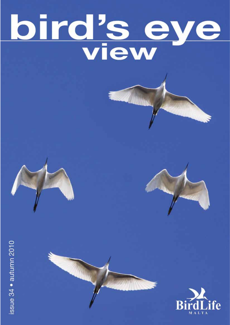# bird's eye





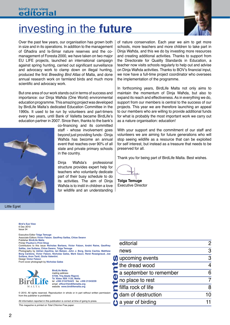# investing in the **future**



Over the past few years, our organisation has grown both in size and in its operations. In addition to the management of Għadira and Is-Simar nature reserves and the comanagement of Foresta 2000, we have taken on two major EU LIFE projects, launched an international campaign against spring hunting, carried out significant surveillance and advocacy work to clamp down on illegal hunting, produced the first *Breeding Bird Atlas* of Malta, and done annual research work on farmland birds and much more scientific and advocacy work.

But one area of our work stands out in terms of success and importance: our Dinja Waħda (One World) environmental education programme. This amazing project was developed by BirdLife Malta's dedicated Education Committee in the 1990s. It used to be run by volunteers and part-timers every two years, until Bank of Valletta became BirdLife's education partner in 2007. Since then, thanks to the bank's



co-financing and its committed staff - whose involvement goes beyond just providing funds - Dinja Waħda has become an annual event that reaches over 90% of all state and private primary schools in the country.

Dinja Waħda's professional structure provides expert help for teachers who voluntarily dedicate part of their busy schedule to do its activities. The aim of Dinja Waħda is to instil in children a love for wildlife and an understanding

Little Egret

**Bird's Eye View** 6 Dec 2010 Issue 34

Executive Editor **Tolga Temuge** Associate Editors **Victor Falzon**, **Geoffrey Saliba, Chloe Swann** Publisher **BirdLife Malta** Printer **Poulton's Print Shop** Contributors to this issue **Nicholas Barbara, Victor Falzon, André Raine, Geoffrey Saliba, Joe Sultana, Chloe Swann, Tolga Temuge** Photography by **Adrian Aquilina, Ian Balzan, John J. Borg, Denis Cachia, Matthew Borg Cardona, Victor Falzon, Nicholas Galea, Mark Gauci, René Rossignaud, Joe Sultana, Aron Tanti, Giulia Valentini.** Design **Victor Falzon** Front cover photograph by **Nicholas Galea**



**BirdLife Malta** mailing address **57/28, Triq Abate Rigord, Ta' Xbiex XBX 1120, Malta** tel **+356 21347644/5** fax **+356 21343239** email **office@birdlifemalta.org** website **www.birdlifemalta.org**

© 2010. All rights reserved. Reproduction in whole or in part without written permission from the publisher is prohibited.

*This magazine is printed on Total Chlorine Free paper.* All information reported in this publication is correct at time of going to press. of nature conservation. Each year we aim to get more schools, more teachers and more children to take part in Dinja Waħda, and this we do by investing more resources and creating additional activities. Thanks to support from the Directorate for Quality Standards in Education, a teacher now visits schools regularly to help out and advise on Dinja Waħda activities. Thanks to BOV's financial input, we now have a full-time project coordinator who oversees the implementation of the programme.

In forthcoming years, BirdLife Malta not only aims to maintain the momentum of Dinja Waħda, but also to expand its reach and effectiveness. As in everything we do, support from our members is central to the success of our projects. This year we are therefore launching an appeal to our members who are willing to provide additional funds for what is probably the most important work we carry out as a nature organisation: education!

With your support and the commitment of our staff and volunteers we are aiming for future generations who will stop seeing wildlife as a resource that can be exploited for self interest, but instead as a treasure that needs to be preserved for all.

Thank you for being part of BirdLife Malta. Best wishes.

**Tolga Temuge** Executive Director

|                  | editorial               |   |
|------------------|-------------------------|---|
|                  | news                    | 3 |
|                  | upcoming events         | 3 |
|                  | the dread wood          |   |
|                  | a september to remember |   |
| $\boldsymbol{0}$ | no place to rest        |   |
|                  | lilfla rock of life     | 8 |
|                  | dam of destruction      |   |
|                  | a year of birding       |   |
|                  |                         |   |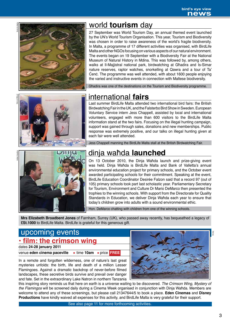

Adrian Aquilina



# world **tourism** day

27 September was World Tourism Day, an annual themed event launched by the UN's World Tourism Organisation. This year, Tourism and Biodiversity was chosen in order to raise awareness of the world's fragile biodiversity. In Malta, a programme of 17 different activities was organised, with BirdLife Malta and other NGOs focusing on various aspects of our natural environment. The events began on 19 September with a Biodiversity Fair at the National Museum of Natural History in Mdina. This was followed by, among others, walks at Il-Majjistral national park, birdwatching at Għadira and Is-Simar nature reserves, raptor watches, snorkelling at Qawra and a tour of Ta' Ċenċ. The programme was well attended, with about 1600 people enjoying the varied and instructive events in connection with Maltese biodiversity.

Għadira was one of the destinations on the Tourism and Biodiversity programme.



# international **fairs**

Last summer BirdLife Malta attended two international bird fairs: the British Birdwatching Fair in the UK, and the Falsterbo Bird Show in Sweden. European Voluntary Service intern Jess Chappell, assisted by local and international volunteers, engaged with more than 600 visitors to the BirdLife Malta information stand at the two fairs. Focusing on the illegal hunting campaign, support was gained through sales, donations and new memberships. Public response was extremely positive, and our talks on illegal hunting given at each fair were well attended.

Jess Chappell manning the BirdLife Malta stall at the British Birdwatching Fair.



# dinja waħda **launched**

On 13 October 2010, the Dinja Waħda launch and prize-giving event was held. Dinja Waħda is BirdLife Malta and Bank of Valletta's annual environmental education project for primary schools, and the October event awarded participating schools for their commitment. Speaking at the event, BirdLife Education Coordinator Desirée Falzon said that a record 97 (out of 105) primary schools took part last scholastic year. Parliamentary Secretary for Tourism, Environment and Culture Dr Mario DeMarco then presented the trophies to the winning schools. With support from the Directorate for Quality Standards in Education, we deliver Dinja Waħda each year to ensure that today's children grow into adults with a sound environmental ethic.

Hon. DeMarco chatting with children from one of the winning schools.

**Mrs Elizabeth Broadbent Jones** of Farnham, Surrey (UK), who passed away recently, has bequeathed a legacy of **£St.1000** to BirdLife Malta. BirdLife is grateful for this generous gift.

# upcoming events **• film: the crimson wing**

dates **24-28 january 2011** venue *eden* cinema paceville • **time 10am •** price **FREE** 

In a remote and forgotten wilderness, one of nature's last great mysteries unfolds: the birth, life and death of a million Lesser Flamingoes. Against a dramatic backdrop of never-before filmed landscapes, these secretive birds survive and prevail over danger and fate. Set in the extraordinary Lake Natron in northern Tanzania

this inspiring story reminds us that here on earth is a universe waiting to be discovered. *The Crimson Wing, Mystery of the Flamingos* will be screened daily during a Cinema Week organised in conjunction with Dinja Waħda. Members are welcome to attend any of these screenings, but please call 21347644/5 to book a place. **Eden Cinemas** and **Disney Productions** have kindly waived all expenses for this activity, and BirdLife Malta is very grateful for their support.

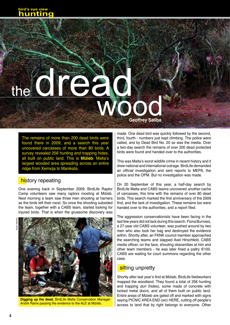# the **dread** wood **Geoffrey Saliba**

The remains of more than 200 dead birds were found there in 2009, and a search this year uncovered carcasses of more than 80 birds. A survey revealed 256 hunting and trapping hides, all built on public land. This is **Miżieb**: Malta's largest wooded area spreading across an entire ridge from Xemxija to Manikata.

# history repeating

One evening back in September 2009, BirdLife Raptor Camp volunteers saw many raptors roosting at Miżieb. Next morning a team saw three men shooting at harriers as the birds left their roost. So once the shooting subsided the team, together with a CABS team, started looking for injured birds. That is when the gruesome discovery was





**Digging up the dead.** BirdLife Malta Conservation Manager André Raine passing the evidence to the ALE at Miżieb.

made. One dead bird was quickly followed by the second, third, fourth - numbers just kept climbing. The police were called, and by Dead Bird No. 20 so was the media. Over a two-day search the remains of over 200 dead protected birds were found and handed over to the authorities.

This was Malta's worst wildlife crime in recent history and it drew national and international outrage. BirdLife demanded an official investigation and sent reports to MEPA, the police and the OPM. But no investigation was made.

On 20 September of this year, a half-day search by BirdLife Malta and CABS teams uncovered *another* cache of carcasses, this time with the remains of over 80 dead birds. This search marked the first anniversary of the 2009 find, and the lack of investigation. These remains too were handed over to the authorities, and a report filed.

The aggression conservationists have been facing in the last few years did not lack during this search. Fiona Burrows, a 27-year old CABS volunteer, was pushed around by two men who also took her bag and destroyed the evidence within. Shortly after, an FKNK council member approached the searching teams and slapped Axel Hirschfeld, CABS media officer, on the face, shouting obscenities at him and other team members - he was later fined a paltry  $€100$ . CABS are waiting for court summons regarding the other case.

# sitting unpretty

Shortly after last year's find at Miżieb, BirdLife fieldworkers mapped the woodland. They found a total of 256 hunting and trapping *duri* (hides), some made of concrete with locked metal doors, and all of them built on public land. Entire areas of Miżieb are gated off and marked with signs saying PICNIC AREA END (sic) HERE, cutting off people's access to land that by right belongs to everyone. Other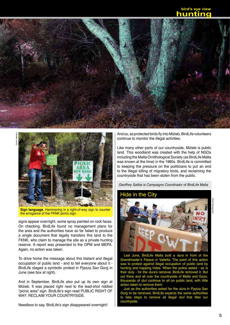# **bird's eye view hunting**





**Sign language.** Hammering in a right-of-way sign to counter the arrogance of the FKNK picnic sign.

signs appear overnight, some spray painted on rock faces. On checking, BirdLife found no management plans for the area and the authorities have so far failed to produce a single document that legally transfers this land to the FKNK, who claim to manage the site as a private hunting reserve. A report was presented to the OPM and MEPA. Again, no action was taken.

To drive home the message about this blatant and illegal occupation of public land - and to tell everyone about it - BirdLife staged a symbolic protest in Pjazza San Ġorġ in June (see box at right).

And in September, BirdLife also put up its own sign at Miżieb. It was placed right next to the lead-shot riddled "picnic area" sign. BirdLife's sign read PUBLIC RIGHT OF way: Reclaim your countryside.

Needless to say, BirdLife's sign disappeared overnight!

And so, as protected birds fly into Miżieb, BirdLife volunteers continue to monitor the illegal activities.

Like many other parts of our countryside, Miżieb is public land. This woodland was created with the help of NGOs including the Malta Ornithological Society (as BirdLife Malta was known at the time) in the 1980s. BirdLife is committed to keeping the pressure on the politicians to put an end to the illegal killing of migratory birds, and reclaiming the countryside that has been stolen from the public.

*Geoffrey Saliba is Campaigns Coordinator of BirdLife Malta*

# Hide in the City



René Rossignaud

Last June, BirdLife Malta built a *dura* in front of the Grandmaster's Palace in Valletta. The point of this action was to protest against illegal occupation of public land by hunting and trapping hides. When the police asked - as is their duty - for the *dura*'s removal, BirdLife removed it. But out there and all over the countryside of Malta and Gozo, thousands of *duri* continue to sit on public land, with little action taken to remove them.

Just as the authorities asked for the *dura* in Pjazza San Ġorġ to be removed, BirdLife expects the same authorities to take steps to remove all illegal *duri* that litter our countryside.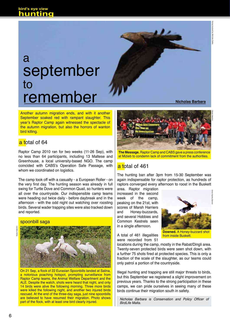# september to remember a

**Nicholas Barbara**

Another autumn migration ends, and with it another September soaked red with rampant slaughter. This year's Raptor Camp again witnessed the spectacle of the autumn migration, but also the horrors of wanton bird killing.

# a total of 64

Raptor Camp 2010 ran for two weeks (11-26 Sep), with no less than 64 participants, including 13 Maltese and Greenhouse, a local university-based NGO. The camp coincided with CABS's Operation Safe Passage, with whom we coordinated on logistics.

The camp took off with a casualty - a European Roller - on the very first day. The hunting season was already in full swing for Turtle Dove and Common Quail, so hunters were all over the countryside. Our indispensible camp teams were heading out twice daily - before daybreak and in the afternoon - with the odd night out watching over roosting birds. Several wader trapping sites were also tracked down and reported.

### spoonbill saga





On 21 Sep, a flock of 22 Eurasian Spoonbills landed at Salina, a notorious poaching hotspot, prompting surveillance from Raptor Camp teams, the Animal Welfare Department and the ALE. Despite the watch, shots were heard that night, and only 14 birds were alive the following morning. Three more birds were killed the following night, and another two injured birds rescued. At the end of the three-day saga, just nine spoonbills are believed to have resumed their migration. Photo shows part of the flock, with at least one bird clearly injured.



**The Message.** Raptor Camp and CABS gave a press conference at Miżieb to condemn lack of commitment from the authorities.

# a total of 461

The hunting ban after 3pm from 15-30 September was again indispensable for raptor protection, as hundreds of raptors converged every afternoon to roost in the Buskett

area. Raptor migration increased in the second week of the camp, peaking on the 21st, with scores of Marsh Harriers and Honey-buzzards, and several Hobbies and Common Kestrels seen in a single afternoon.



A total of 461 illegalities were recorded from 51 from inside Buskett.

locations during the camp, mostly in the Rabat/Dingli area. Twenty-seven protected birds were seen shot down, with a further 75 shots fired at protected species. This is only a fraction of the scale of the slaughter, as our teams could only patrol a portion of the countryside.

Illegal hunting and trapping are still major threats to birds, but this September we registered a slight improvement on previous years. Thanks to the strong participation in these camps, we can pride ourselves in seeing many of these birds continue their migration south in safety.

Nicholas Barbara is Conservation and Policy Officer of *BirdLife Malta.*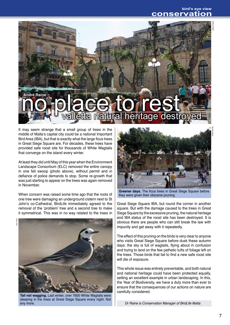BirdLife Malta

# **no place to rest and no place to rest and no place to rest and no place to rest and no place of the stroyed André Raine**

It may seem strange that a small group of trees in the middle of Malta's capital city could be a national Important Bird Area (IBA), but that is exactly what the large ficus trees in Great Siege Square are. For decades, these trees have provided safe roost site for thousands of White Wagtails that converge on the island every winter.

At least they did until May of this year when the Environment Landscape Consortium (ELC) removed the entire canopy in one fell swoop (photo above), without permit and in defiance of police demands to stop. Some re-growth that was just starting to appear on the trees was again removed in November.

When concern was raised some time ago that the roots of one tree were damaging an underground cistern next to St John's co-Cathedral, BirdLife immediately agreed to the removal of the 'problem' tree and a second tree to make it symmetrical. This was in no way related to the trees in



**Tail not wagging.** Last winter, over 7600 White Wagtails were sleeping in the trees at Great Siege Square every night. Not any more.



**Greener days.** The ficus trees in Great Siege Square before they were given their obscene pruning.

Great Siege Square IBA*,* but round the corner in another square. But with the damage caused to the trees in Great Siege Square by the excessive pruning, the natural heritage and IBA status of the roost site has been destroyed. It is obvious there are people who can still break the law with impunity and get away with it repeatedly.

The effect of this pruning on the birds is very clear to anyone who visits Great Siege Square before dusk these autumn days: the sky is full of wagtails, flying about in confusion and trying to land on the few pathetic tufts of foliage left on the trees. Those birds that fail to find a new safe roost site will die of exposure.

This whole issue was entirely preventable, and both natural and national heritage could have been protected equally, setting an excellent example in urban landscaping. In this, the Year of Biodiversity, we have a duty more than ever to ensure that the consequences of our actions on nature are carefully considered.

*Dr Raine is Conservation Manager of BirdLife Malta*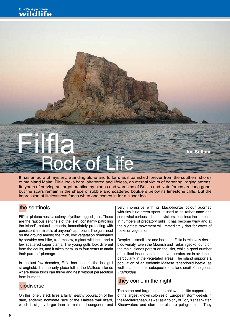# Rock of Life Filfla **Joe Sultana**

It has an aura of mystery. Standing alone and forlorn, as if banished forever from the southern shores of mainland Malta, Filfla looks bare, shattered and lifeless, an eternal victim of battering, raging storms. Its years of serving as target practice by planes and warships of British and Nato forces are long gone, but the scars remain in the shape of rubble and scattered boulders below its limestone cliffs. But the impression of lifelessness fades when one comes in for a closer look.

# the sentinels

Filfla's plateau hosts a colony of yellow-legged gulls. These are the raucous sentinels of the islet, constantly patrolling the island's natural ramparts, immediately protesting with persistent alarm calls at anyone's approach. The gulls nest on the ground among the thick, low vegetation dominated by shrubby sea-blite, tree mallow, a giant wild leek, and a few scattered caper plants. The young gulls look different from the adults, and it takes them up to four years to attain their parents' plumage.

In the last few decades, Filfla has become the last gull stronghold: it is the only place left in the Maltese Islands where these birds can thrive and nest without persecution from humans.

On this lonely stack lives a fairly healthy population of the dark, endemic nominate race of the Maltese wall lizard, which is slightly larger than its mainland congeners and very impressive with its black-bronze colour adorned with tiny blue-green spots. It used to be rather tame and somewhat curious at human visitors, but since the increase in numbers of predatory gulls, it has become wary and at the slightest movement will immediately dart for cover of rocks or vegetation.

Despite its small size and isolation, Filfla is relatively rich in biodiversity. Even the Moorish and Turkish gecko found on the main islands persist on the islet, while a good number of resilient insects and other invertebrates are in evidence, particularly in the vegetated areas. The island supports a population of an endemic Maltese tenebrionid beetle, as well as an endemic subspecies of a land snail of the genus *Trochoidea*.

# biodiverse the state of the state of the night  $\frac{1}{2}$  they come in the night

The scree and large boulders below the cliffs support one of the largest known colonies of European storm-petrels in the Mediterranean, as well as a colony of Cory's shearwater. Shearwaters and storm-petrels are pelagic birds. They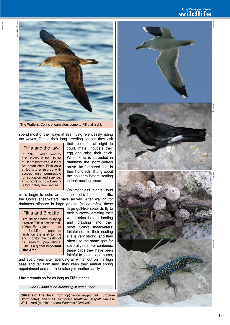# **bird's eye view wildlife**



**The Wailers.** Cory's shearwaters come to Filfla at night.

spend most of their days at sea, flying relentlessly, riding the waves. During their long breeding season they visit

Filfla and the law

Joe Sultana

In **1988**, after lengthy discussions in the House of Representatives, a legal Act established Filfla as a **strict nature reserve**, with access only permissible for education and science. This rock's rich biodiversity is fortunately now secure.

their colonies at night to court, mate, incubate their egg and raise their chick. When Filfla is shrouded in darkness the storm-petrels arrive like feathered bats in their hundreds, flitting about the boulders before settling in their nesting areas.

On moonless nights, loud wails begin to echo around the islet's limestone cliffs: the Cory's shearwaters have arrived! After waiting for darkness offshore in large groups (called rafts), these

# Filfla and BirdLife

BirdLife has been studying birds on Filfla since the mid-1960s. Every year, a team of BirdLife researchers lands on the islet to ring and monitor the health of its seabird populations. Filfla is a global **Important Bird Area**.

large gull-like seabirds fly to their burrows, emitting their weird cries before landing and crawling into their nests. Cory's shearwaters' faithfulness to their nesting site is very strong, and they often use the same spot for several years. For centuries, these birds they have been faithful to their island home,

and every year after spending all winter out on the high seas and far from land, they keep their annual spring appointment and return to raise yet another family.

May it remain so for as long as Filfla stands.

*Joe Sultana is an ornithologist and author.*

**Citizens of The Rock**. (from top) Yellow-legged Gull, European Storm-petrel, land snail *Trochoidea spratti* var. *despotti*, Maltese Wall Lizard (nominate race) Podarcis f.filfolensis.

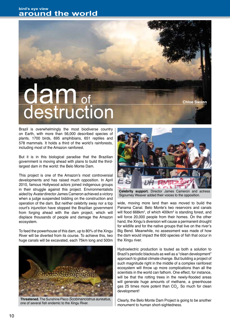# dam<sub>of</sub> destruction

Brazil is overwhelmingly the most biodiverse country on Earth, with more than 56,000 described species of plants, 1700 birds, 695 amphibians, 651 reptiles and 578 mammals. It holds a third of the world's rainforests, including most of the Amazon rainforest.

But it is in this biological paradise that the Brazilian government is moving ahead with plans to build the thirdlargest dam in the world: the Belo Monte Dam.

This project is one of the Amazon's most controversial developments and has raised much opposition. In April 2010, famous Hollywood actors joined indigenous groups in their struggle against this project. Environmentalists aided by *Avatar* director James Cameron achieved a victory when a judge suspended bidding on the construction and operation of the dam. But neither celebrity sway nor a top court's injunction have stopped the Brazilian government from forging ahead with the dam project, which will displace thousands of people and damage the Amazon ecosystem.

To feed the powerhouse of this dam, up to 80% of the Xingu River will be diverted from its course. To achieve this, two huge canals will be excavated, each 75km long and 500m



**Threatened.** The Sunshine Pleco *Scobinancistrus aureatus,*  one of several fish endemic to the Xingu River.



**Chloe Swann**

**Celebrity support.** Director James Cameron and actress Sigourney Weaver added their voices to the opposition.

wide, moving more land than was moved to build the Panama Canal. Belo Monte's two reservoirs and canals will flood 668km<sup>2</sup>, of which 400km<sup>2</sup> is standing forest, and will force 20,000 people from their homes. On the other hand, the Xingu's diversion will cause a permanent drought for wildlife and for the native groups that live on the river's Big Bend. Meanwhile, no assessment was made of how the dam would impact the 600 species of fish that occur in the Xingu river.

Hydroelectric production is touted as both a solution to Brazil's periodic blackouts as well as a "clean development" approach to global climate change. But building a project of such magnitude right in the middle of a complex rainforest ecosystem will throw up more complications than all the scientists in the world can fathom. One effect, for instance, will be that the rotting trees in the newly-flooded areas will generate huge amounts of methane, a greenhouse gas 25 times more potent than  $CO_{2}$ . So much for clean development!

Clearly, the Belo Monte Dam Project is going to be another monument to human short-sightedness.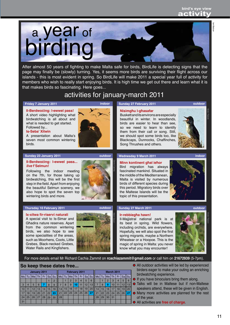Ian Balzan **Balzar** 



After almost 50 years of fighting to make Malta safe for birds, BirdLife is detecting signs that the page may finally be (slowly) turning. Yes, it seems more birds are surviving their flight across our islands - this is most evident in spring. So BirdLife will make 2011 a special year full of activity for members who wish to really start enjoying birds. It is high time we get out there and learn what it is that makes birds so fascinating. Here goes...

# activities for january-march 2011

### **Friday 7 January 2011 indoor**

**Il-Berdwoċing: l-ewwel pass!** A short video highlighting what birdwatching is all about and what is needed to get started. Followed by...

### **Is-Seba' Xitwin**

A presentation about Malta's seven most common wintering birds.

### **Sunday 23 January 2011 outdoor**

### **Il-Berdwoċing: l-ewwel pass...**  *live* **f'Selmun!**

Following the indoor meeting on the 7th, for those taking up birdwatching, this will be the first step in the field. Apart from enjoying the beautiful Selmun scenery, we also hope to spot the seven top wintering birds and more.

### **Thursday 10 February 2011 outdoor**

**Ix-xitwa fir-riservi naturali** A special visit to Is-Simar and Għadira nature reserves. Apart from the common wintering birds, we also hope to see some specialities of the areas, such as Moorhens, Coots, Little Grebes, Black-necked Grebes, Water Rails and Kingfishers.



### **Nisimgħu l-għasafar**

Buskett and its environs are especially beautiful in winter. In woodlands, birds are easier to hear than see, so we need to learn to identify them from their call or song. Still, we should spot some birds too, like Blackcaps, Dunnocks, Chaffinches, Song Thrushes and others.

**Sunday 27 February 2011 outdoor**



**Wednesday 9 March 2011 indoor**

Victor Falzon

# **Minn kontinent għal ieħor**

Bird migration has always fascinated mankind. Situated in the middle of the Mediterranean, Malta is visited by numerous birds of different species during this period. Migratory birds over the Maltese Islands will be the topic of this presentation.



# **Sunday 27 March 2011 outdoor**

# **Ir-rebbiegħa hawn!**

Il-Majjistral national park is at its best in spring. Wild flowers, including orchids, are everywhere. Hopefully, we will also spot the first spring migrants, maybe a Northern Wheatear or a Hoopoe. This is the magic of spring in Malta: you never know what you may encounter!



For more details email Mr Richard Cachia Żammit on **rcachiazammit@gmail.com** or call him on **21672939** (5-7pm).

# **So keep these dates free...**

| January 2011 |    |     |    |     |    | February 2011  |    |    |                |    |    |    | <b>March 2011</b> |    |    |               |    |    |    |    |
|--------------|----|-----|----|-----|----|----------------|----|----|----------------|----|----|----|-------------------|----|----|---------------|----|----|----|----|
| Mo           | Tu | lWe | Th | Fr  | Sa | Su             | Mo | Tu | lWe            | Th | Fr | Sa | Su                | Mo | Tu | We            | Th | Fr | Sa | Su |
|              |    |     |    |     |    | $\overline{2}$ |    |    | $\overline{2}$ | 3  | 4  | 5  | 6                 |    |    | $\mathcal{P}$ | 3  | 4  | 5  | 6  |
| 3            | 4  | 5   | 6  |     | 8  | 9              | 7  | 8  | 9              | 10 | 11 | 12 | 13                |    | 8  | 9             | 10 | 11 | 12 | 13 |
| 10           | 11 | 12  | 13 | 14. | 15 | 16             | 14 | 15 | 16             | 17 | 18 | 19 | 20                | 14 | 15 | 16            | 17 | 18 | 19 | 20 |
| 17           | 18 | 19  | 20 | 21  | 22 | 23             | 21 | 22 | 23             | 24 | 25 | 26 | 27                | 21 | 22 | 23            | 24 | 25 | 26 | 27 |
| 24           | 25 | 26  | 27 | 28  | 29 | 30             | 28 |    |                |    |    |    |                   | 28 | 29 | 30            | 31 |    |    |    |
| 31           |    |     |    |     |    |                |    |    |                |    |    |    |                   |    |    |               |    |    |    |    |

- All outdoor activities will be led by experienced birders eager to make your outing an enriching birdwatching experience.
- $\bullet$  If you have binoculars bring them along.
- **Talks will be in Maltese but if non-Maltese** speakers attend, these will be given in English.
- Many more activities are planned for the rest of the year.
- All activities are **free of charge**.